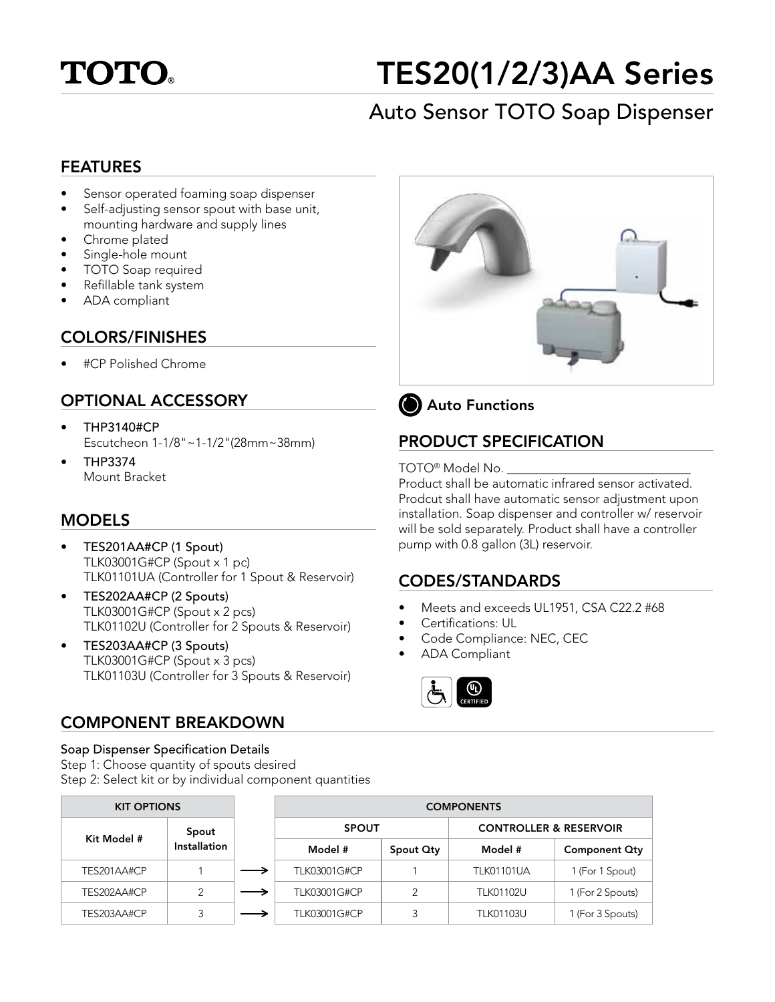

# TES20(1/2/3)AA Series

# Auto Sensor TOTO Soap Dispenser

#### FEATURES

- Sensor operated foaming soap dispenser
- Self-adjusting sensor spout with base unit, mounting hardware and supply lines
- Chrome plated
- Single-hole mount
- TOTO Soap required
- Refillable tank system
- ADA compliant

#### COLORS/FINISHES

• #CP Polished Chrome

# OPTIONAL ACCESSORY

- THP3140#CP Escutcheon 1-1/8"~1-1/2"(28mm~38mm)
- THP3374 Mount Bracket

# MODELS

- TES201AA#CP (1 Spout) TLK03001G#CP (Spout x 1 pc) TLK01101UA (Controller for 1 Spout & Reservoir)
- TES202AA#CP (2 Spouts) TLK03001G#CP (Spout x 2 pcs) TLK01102U (Controller for 2 Spouts & Reservoir)
- TES203AA#CP (3 Spouts) TLK03001G#CP (Spout x 3 pcs) TLK01103U (Controller for 3 Spouts & Reservoir)

# COMPONENT BREAKDOWN

#### Soap Dispenser Specification Details

Step 1: Choose quantity of spouts desired Step 2: Select kit or by individual component quantities

| <b>KIT OPTIONS</b> |                       | <b>COMPONENTS</b> |           |                                   |                      |  |
|--------------------|-----------------------|-------------------|-----------|-----------------------------------|----------------------|--|
| Kit Model #        | Spout<br>Installation | <b>SPOUT</b>      |           | <b>CONTROLLER &amp; RESERVOIR</b> |                      |  |
|                    |                       | Model #           | Spout Oty | Model #                           | <b>Component Qty</b> |  |
| TES201AA#CP        |                       | TLK03001G#CP      |           | <b>TLK01101UA</b>                 | 1 (For 1 Spout)      |  |
| TES202AA#CP        | っ                     | TLK03001G#CP      |           | <b>TLK01102U</b>                  | 1 (For 2 Spouts)     |  |
| TES203AA#CP        | 3                     | TLK03001G#CP      |           | <b>TLK01103U</b>                  | 1 (For 3 Spouts)     |  |



**(b)** Auto Functions

# PRODUCT SPECIFICATION

#### TOTO<sup>®</sup> Model No.

Product shall be automatic infrared sensor activated. Prodcut shall have automatic sensor adjustment upon installation. Soap dispenser and controller w/ reservoir will be sold separately. Product shall have a controller pump with 0.8 gallon (3L) reservoir.

# CODES/STANDARDS

- Meets and exceeds UL1951, CSA C22.2 #68
- Certifications: UL
- Code Compliance: NEC, CEC
- ADA Compliant